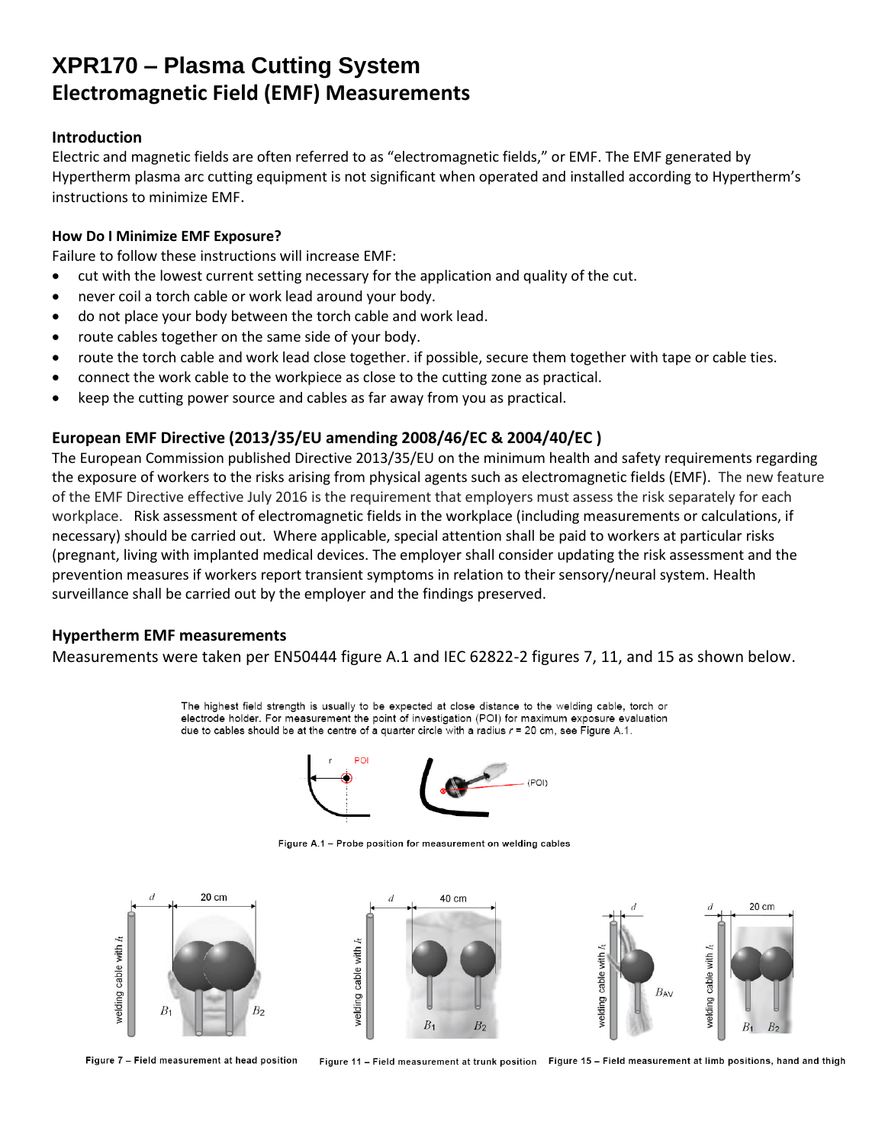## **XPR170 – Plasma Cutting System Electromagnetic Field (EMF) Measurements**

#### **Introduction**

Electric and magnetic fields are often referred to as "electromagnetic fields," or EMF. The EMF generated by Hypertherm plasma arc cutting equipment is not significant when operated and installed according to Hypertherm's instructions to minimize EMF.

#### **How Do I Minimize EMF Exposure?**

Failure to follow these instructions will increase EMF:

- cut with the lowest current setting necessary for the application and quality of the cut.
- never coil a torch cable or work lead around your body.
- do not place your body between the torch cable and work lead.
- route cables together on the same side of your body.
- route the torch cable and work lead close together. if possible, secure them together with tape or cable ties.
- connect the work cable to the workpiece as close to the cutting zone as practical.
- keep the cutting power source and cables as far away from you as practical.

## **European EMF Directive (2013/35/EU amending 2008/46/EC & 2004/40/EC )**

The European Commission published Directive 2013/35/EU on the minimum health and safety requirements regarding the exposure of workers to the risks arising from physical agents such as electromagnetic fields (EMF). The new feature of the EMF Directive effective July 2016 is the requirement that employers must assess the risk separately for each workplace. Risk assessment of electromagnetic fields in the workplace (including measurements or calculations, if necessary) should be carried out. Where applicable, special attention shall be paid to workers at particular risks (pregnant, living with implanted medical devices. The employer shall consider updating the risk assessment and the prevention measures if workers report transient symptoms in relation to their sensory/neural system. Health surveillance shall be carried out by the employer and the findings preserved.

### **Hypertherm EMF measurements**

Measurements were taken per EN50444 figure A.1 and IEC 62822-2 figures 7, 11, and 15 as shown below.

The highest field strength is usually to be expected at close distance to the welding cable, torch or electrode holder. For measurement the point of investigation (POI) for maximum exposure evaluation due to cables should be at the centre of a quarter circle with a radius  $r = 20$  cm, see Figure A.1.



Figure A.1 - Probe position for measurement on welding cables



Figure 7 - Field measurement at head position

Figure 11 - Field measurement at trunk position Figure 15 - Field measurement at limb positions, hand and thigh